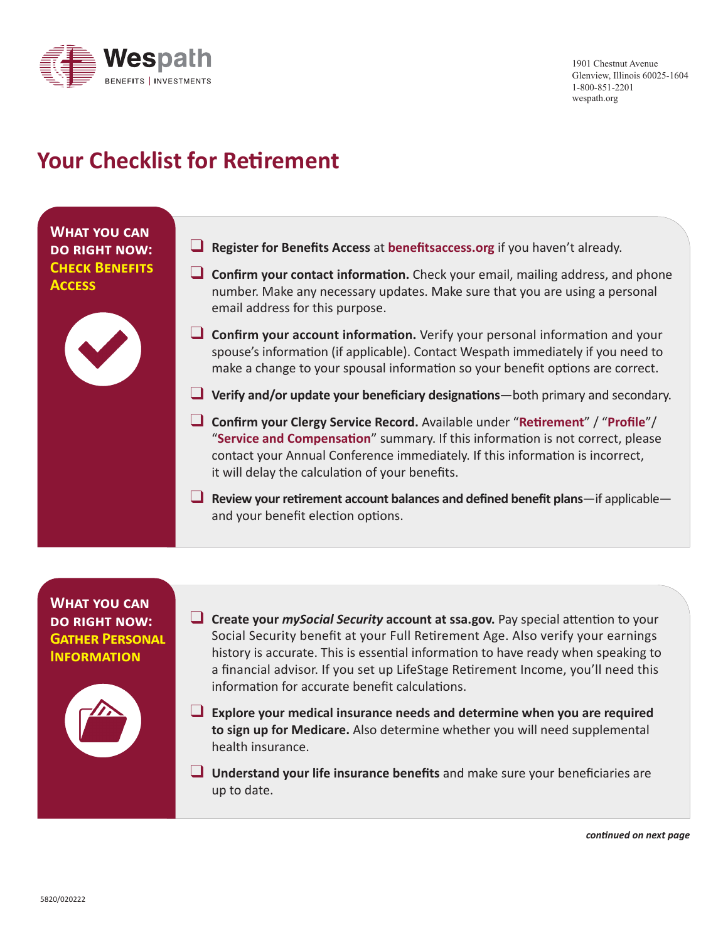

1901 Chestnut Avenue Glenview, Illinois 60025-1604 1-800-851-2201 wespath.org

## **Your Checklist for Retirement**

**What you can do right now: Check Benefits Access**



- **Q Register for Benefits Access** at **benefitsaccess.org** if you haven't already.
- **Confirm your contact information.** Check your email, mailing address, and phone number. Make any necessary updates. Make sure that you are using a personal email address for this purpose.
- **Q Confirm your account information.** Verify your personal information and your spouse's information (if applicable). Contact Wespath immediately if you need to make a change to your spousal information so your benefit options are correct.
- **L** Verify and/or update your beneficiary designations—both primary and secondary.
- q **Confirm your Clergy Service Record.** Available under "**Retirement**" / "**Profile**"/ "**Service and Compensation**" summary. If this information is not correct, please contact your Annual Conference immediately. If this information is incorrect, it will delay the calculation of your benefits.
- **Q** Review your retirement account balances and defined benefit plans—if applicable and your benefit election options.

**What you can do right now: Gather Personal Information**



- **L** Create your *mySocial Security* account at ssa.gov. Pay special attention to your Social Security benefit at your Full Retirement Age. Also verify your earnings history is accurate. This is essential information to have ready when speaking to a financial advisor. If you set up LifeStage Retirement Income, you'll need this information for accurate benefit calculations.
- **Explore your medical insurance needs and determine when you are required to sign up for Medicare.** Also determine whether you will need supplemental health insurance.
- **Q** Understand your life insurance benefits and make sure your beneficiaries are up to date.

*continued on next page*